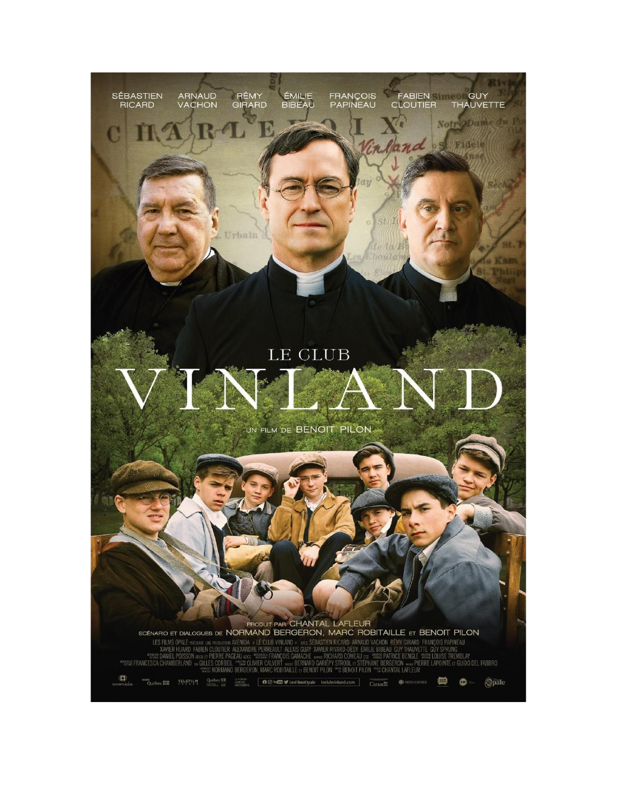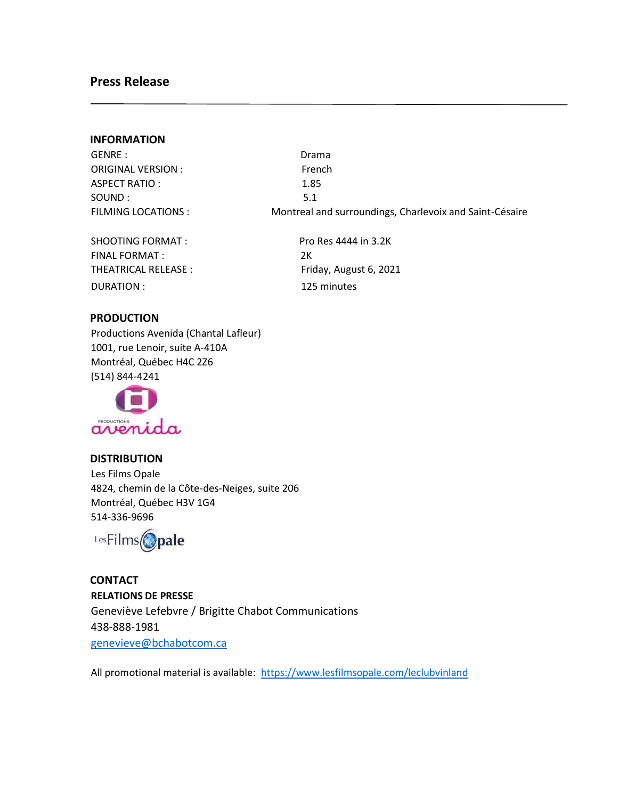### **Press Release**

#### **INFORMATION**

GENRE : San Drama and Drama and Drama and Drama and Drama and Drama and Drama and Drama and Drama and Drama and Drama and Drama and Drama and Drama and Drama and Drama and Drama and Drama and Drama and Drama and Drama and ORIGINAL VERSION : French ASPECT RATIO : 1.85 SOUND : 5.1

FILMING LOCATIONS : Montreal and surroundings, Charlevoix and Saint-Césaire

SHOOTING FORMAT : Pro Res 4444 in 3.2K FINAL FORMAT : 2K THEATRICAL RELEASE : Friday, August 6, 2021 DURATION : 125 minutes

#### **PRODUCTION**

Productions Avenida (Chantal Lafleur) 1001, rue Lenoir, suite A-410A Montréal, Québec H4C 2Z6 (514) 844-4241



#### **DISTRIBUTION**

Les Films Opale 4824, chemin de la Côte-des-Neiges, suite 206 Montréal, Québec H3V 1G4 514-336-9696



**CONTACT RELATIONS DE PRESSE**  Geneviève Lefebvre / Brigitte Chabot Communications 438-888-1981 genevieve@bchabotcom.ca

All promotional material is available:<https://www.lesfilmsopale.com/leclubvinland>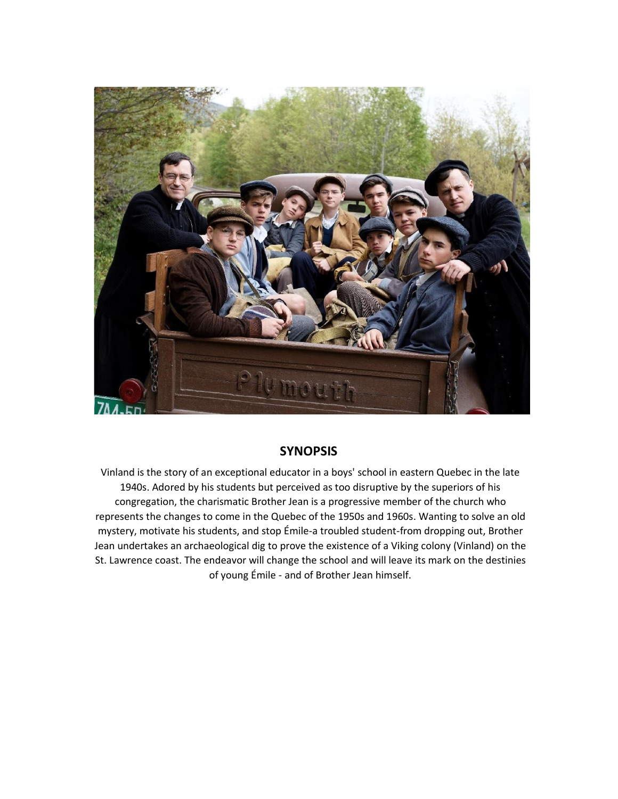

## **SYNOPSIS**

Vinland is the story of an exceptional educator in a boys' school in eastern Quebec in the late 1940s. Adored by his students but perceived as too disruptive by the superiors of his congregation, the charismatic Brother Jean is a progressive member of the church who represents the changes to come in the Quebec of the 1950s and 1960s. Wanting to solve an old mystery, motivate his students, and stop Émile-a troubled student-from dropping out, Brother Jean undertakes an archaeological dig to prove the existence of a Viking colony (Vinland) on the St. Lawrence coast. The endeavor will change the school and will leave its mark on the destinies of young Émile - and of Brother Jean himself.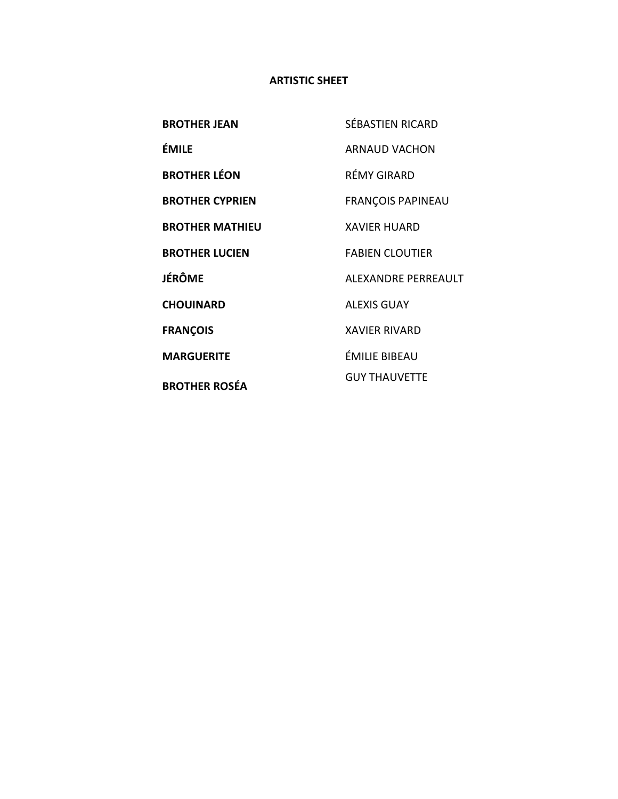## **ARTISTIC SHEET**

| <b>BROTHER JEAN</b>    | <b>SÉBASTIEN RICARD</b>  |
|------------------------|--------------------------|
| ÉMILE                  | <b>ARNAUD VACHON</b>     |
| <b>BROTHER LÉON</b>    | RÉMY GIRARD              |
| <b>BROTHER CYPRIEN</b> | <b>FRANÇOIS PAPINEAU</b> |
| <b>BROTHER MATHIEU</b> | <b>XAVIER HUARD</b>      |
| <b>BROTHER LUCIEN</b>  | <b>FABIEN CLOUTIER</b>   |
| <b>JÉRÔME</b>          | ALEXANDRE PERREAULT      |
| <b>CHOUINARD</b>       | <b>ALEXIS GUAY</b>       |
| <b>FRANÇOIS</b>        | <b>XAVIER RIVARD</b>     |
| <b>MARGUERITE</b>      | ÉMILIE BIBEAU            |
| <b>BROTHER ROSÉA</b>   | <b>GUY THAUVETTE</b>     |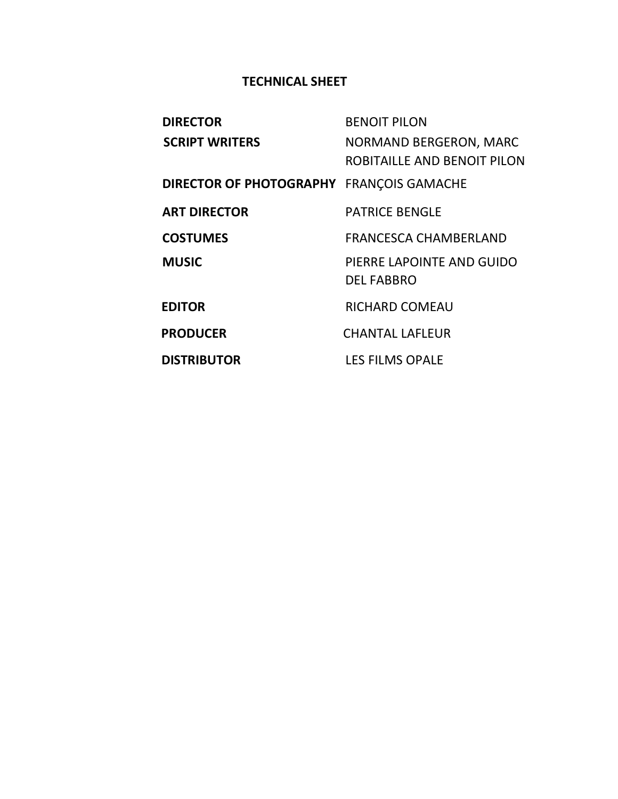# **TECHNICAL SHEET**

| <b>DIRECTOR</b>                                 | <b>BENOIT PILON</b>          |
|-------------------------------------------------|------------------------------|
| <b>SCRIPT WRITERS</b>                           | NORMAND BERGERON, MARC       |
|                                                 | ROBITAILLE AND BENOIT PILON  |
| <b>DIRECTOR OF PHOTOGRAPHY FRANÇOIS GAMACHE</b> |                              |
| <b>ART DIRECTOR</b>                             | <b>PATRICE BENGLE</b>        |
| <b>COSTUMES</b>                                 | <b>FRANCESCA CHAMBERLAND</b> |
| <b>MUSIC</b>                                    | PIERRE LAPOINTE AND GUIDO    |
|                                                 | <b>DEL FABBRO</b>            |
| <b>EDITOR</b>                                   | <b>RICHARD COMEAU</b>        |
| <b>PRODUCER</b>                                 | <b>CHANTAL LAFLEUR</b>       |
| <b>DISTRIBUTOR</b>                              | <b>LES FILMS OPALE</b>       |
|                                                 |                              |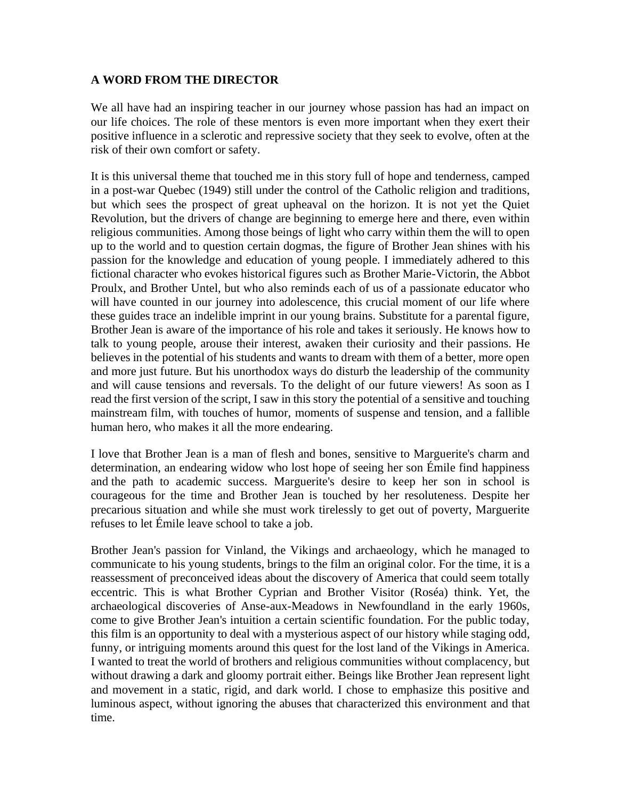### **A WORD FROM THE DIRECTOR**

We all have had an inspiring teacher in our journey whose passion has had an impact on our life choices. The role of these mentors is even more important when they exert their positive influence in a sclerotic and repressive society that they seek to evolve, often at the risk of their own comfort or safety.

It is this universal theme that touched me in this story full of hope and tenderness, camped in a post-war Quebec (1949) still under the control of the Catholic religion and traditions, but which sees the prospect of great upheaval on the horizon. It is not yet the Quiet Revolution, but the drivers of change are beginning to emerge here and there, even within religious communities. Among those beings of light who carry within them the will to open up to the world and to question certain dogmas, the figure of Brother Jean shines with his passion for the knowledge and education of young people. I immediately adhered to this fictional character who evokes historical figures such as Brother Marie-Victorin, the Abbot Proulx, and Brother Untel, but who also reminds each of us of a passionate educator who will have counted in our journey into adolescence, this crucial moment of our life where these guides trace an indelible imprint in our young brains. Substitute for a parental figure, Brother Jean is aware of the importance of his role and takes it seriously. He knows how to talk to young people, arouse their interest, awaken their curiosity and their passions. He believes in the potential of his students and wants to dream with them of a better, more open and more just future. But his unorthodox ways do disturb the leadership of the community and will cause tensions and reversals. To the delight of our future viewers! As soon as I read the first version of the script, I saw in this story the potential of a sensitive and touching mainstream film, with touches of humor, moments of suspense and tension, and a fallible human hero, who makes it all the more endearing.

I love that Brother Jean is a man of flesh and bones, sensitive to Marguerite's charm and determination, an endearing widow who lost hope of seeing her son Émile find happiness and the path to academic success. Marguerite's desire to keep her son in school is courageous for the time and Brother Jean is touched by her resoluteness. Despite her precarious situation and while she must work tirelessly to get out of poverty, Marguerite refuses to let Émile leave school to take a job.

Brother Jean's passion for Vinland, the Vikings and archaeology, which he managed to communicate to his young students, brings to the film an original color. For the time, it is a reassessment of preconceived ideas about the discovery of America that could seem totally eccentric. This is what Brother Cyprian and Brother Visitor (Roséa) think. Yet, the archaeological discoveries of Anse-aux-Meadows in Newfoundland in the early 1960s, come to give Brother Jean's intuition a certain scientific foundation. For the public today, this film is an opportunity to deal with a mysterious aspect of our history while staging odd, funny, or intriguing moments around this quest for the lost land of the Vikings in America. I wanted to treat the world of brothers and religious communities without complacency, but without drawing a dark and gloomy portrait either. Beings like Brother Jean represent light and movement in a static, rigid, and dark world. I chose to emphasize this positive and luminous aspect, without ignoring the abuses that characterized this environment and that time.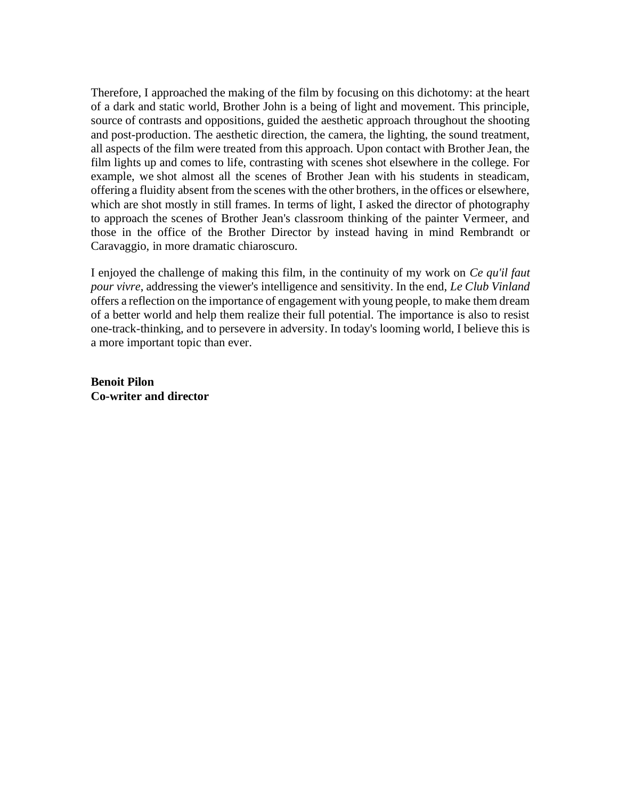Therefore, I approached the making of the film by focusing on this dichotomy: at the heart of a dark and static world, Brother John is a being of light and movement. This principle, source of contrasts and oppositions, guided the aesthetic approach throughout the shooting and post-production. The aesthetic direction, the camera, the lighting, the sound treatment, all aspects of the film were treated from this approach. Upon contact with Brother Jean, the film lights up and comes to life, contrasting with scenes shot elsewhere in the college. For example, we shot almost all the scenes of Brother Jean with his students in steadicam, offering a fluidity absent from the scenes with the other brothers, in the offices or elsewhere, which are shot mostly in still frames. In terms of light, I asked the director of photography to approach the scenes of Brother Jean's classroom thinking of the painter Vermeer, and those in the office of the Brother Director by instead having in mind Rembrandt or Caravaggio, in more dramatic chiaroscuro.

I enjoyed the challenge of making this film, in the continuity of my work on *Ce qu'il faut pour vivre*, addressing the viewer's intelligence and sensitivity. In the end, *Le Club Vinland* offers a reflection on the importance of engagement with young people, to make them dream of a better world and help them realize their full potential. The importance is also to resist one-track-thinking, and to persevere in adversity. In today's looming world, I believe this is a more important topic than ever.

**Benoit Pilon Co-writer and director**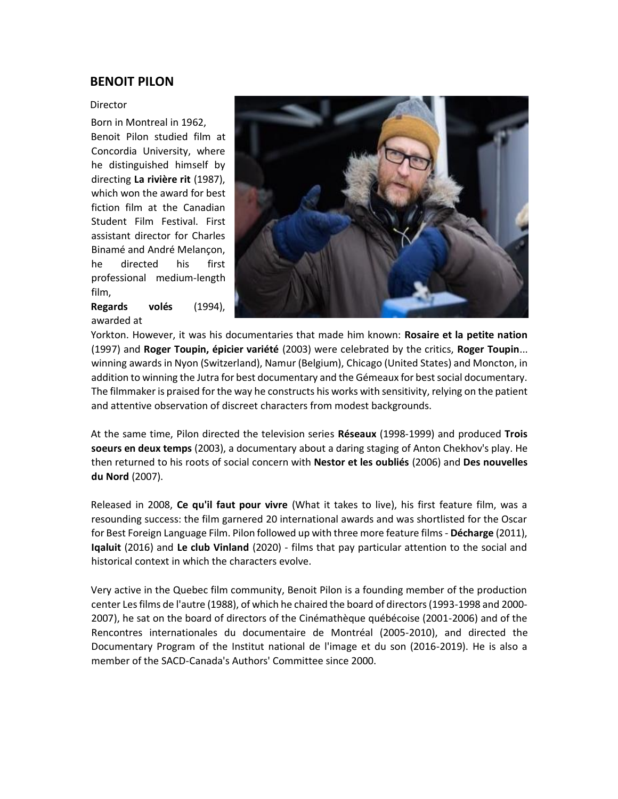### **BENOIT PILON**

#### Director

Born in Montreal in 1962, Benoit Pilon studied film at Concordia University, where he distinguished himself by directing **La rivière rit** (1987), which won the award for best fiction film at the Canadian Student Film Festival. First assistant director for Charles Binamé and André Melançon, he directed his first professional medium-length film,

**Regards volés** (1994), awarded at



Yorkton. However, it was his documentaries that made him known: **Rosaire et la petite nation** (1997) and **Roger Toupin, épicier variété** (2003) were celebrated by the critics, **Roger Toupin**... winning awards in Nyon (Switzerland), Namur (Belgium), Chicago (United States) and Moncton, in addition to winning the Jutra for best documentary and the Gémeaux for best social documentary. The filmmaker is praised for the way he constructs his works with sensitivity, relying on the patient and attentive observation of discreet characters from modest backgrounds.

At the same time, Pilon directed the television series **Réseaux** (1998-1999) and produced **Trois soeurs en deux temps** (2003), a documentary about a daring staging of Anton Chekhov's play. He then returned to his roots of social concern with **Nestor et les oubliés** (2006) and **Des nouvelles du Nord** (2007).

Released in 2008, **Ce qu'il faut pour vivre** (What it takes to live), his first feature film, was a resounding success: the film garnered 20 international awards and was shortlisted for the Oscar for Best Foreign Language Film. Pilon followed up with three more feature films - **Décharge** (2011), **Iqaluit** (2016) and **Le club Vinland** (2020) - films that pay particular attention to the social and historical context in which the characters evolve.

Very active in the Quebec film community, Benoit Pilon is a founding member of the production center Les films de l'autre (1988), of which he chaired the board of directors (1993-1998 and 2000- 2007), he sat on the board of directors of the Cinémathèque québécoise (2001-2006) and of the Rencontres internationales du documentaire de Montréal (2005-2010), and directed the Documentary Program of the Institut national de l'image et du son (2016-2019). He is also a member of the SACD-Canada's Authors' Committee since 2000.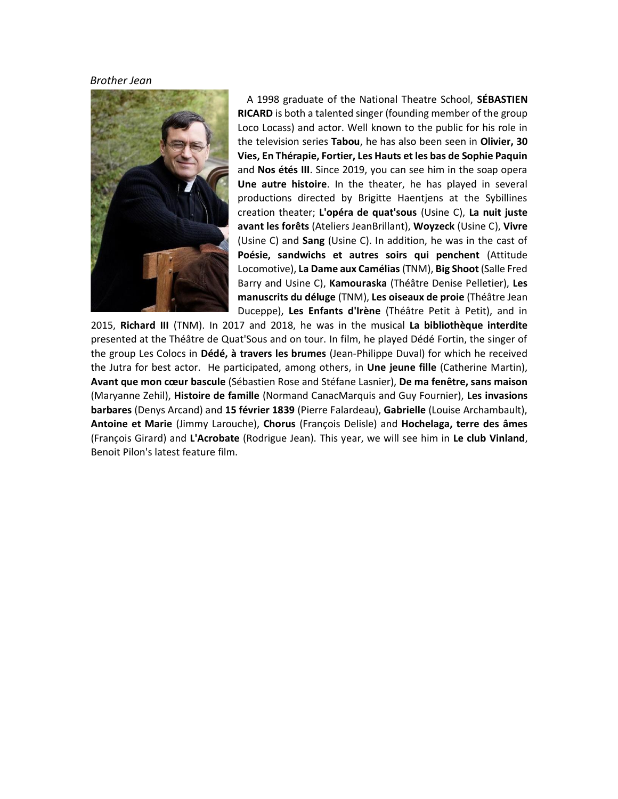#### *Brother Jean*



A 1998 graduate of the National Theatre School, **SÉBASTIEN RICARD** is both a talented singer (founding member of the group Loco Locass) and actor. Well known to the public for his role in the television series **Tabou**, he has also been seen in **Olivier, 30 Vies, En Thérapie, Fortier, Les Hauts et les bas de Sophie Paquin** and **Nos étés III**. Since 2019, you can see him in the soap opera **Une autre histoire**. In the theater, he has played in several productions directed by Brigitte Haentjens at the Sybillines creation theater; **L'opéra de quat'sous** (Usine C), **La nuit juste avant les forêts** (Ateliers JeanBrillant), **Woyzeck** (Usine C), **Vivre**  (Usine C) and **Sang** (Usine C). In addition, he was in the cast of **Poésie, sandwichs et autres soirs qui penchent** (Attitude Locomotive), **La Dame aux Camélias** (TNM), **Big Shoot** (Salle Fred Barry and Usine C), **Kamouraska** (Théâtre Denise Pelletier), **Les manuscrits du déluge** (TNM), **Les oiseaux de proie** (Théâtre Jean Duceppe), **Les Enfants d'Irène** (Théâtre Petit à Petit), and in

2015, **Richard III** (TNM). In 2017 and 2018, he was in the musical **La bibliothèque interdite** presented at the Théâtre de Quat'Sous and on tour. In film, he played Dédé Fortin, the singer of the group Les Colocs in **Dédé, à travers les brumes** (Jean-Philippe Duval) for which he received the Jutra for best actor. He participated, among others, in **Une jeune fille** (Catherine Martin), **Avant que mon cœur bascule** (Sébastien Rose and Stéfane Lasnier), **De ma fenêtre, sans maison** (Maryanne Zehil), **Histoire de famille** (Normand CanacMarquis and Guy Fournier), **Les invasions barbares** (Denys Arcand) and **15 février 1839** (Pierre Falardeau), **Gabrielle** (Louise Archambault), **Antoine et Marie** (Jimmy Larouche), **Chorus** (François Delisle) and **Hochelaga, terre des âmes** (François Girard) and **L'Acrobate** (Rodrigue Jean). This year, we will see him in **Le club Vinland**, Benoit Pilon's latest feature film.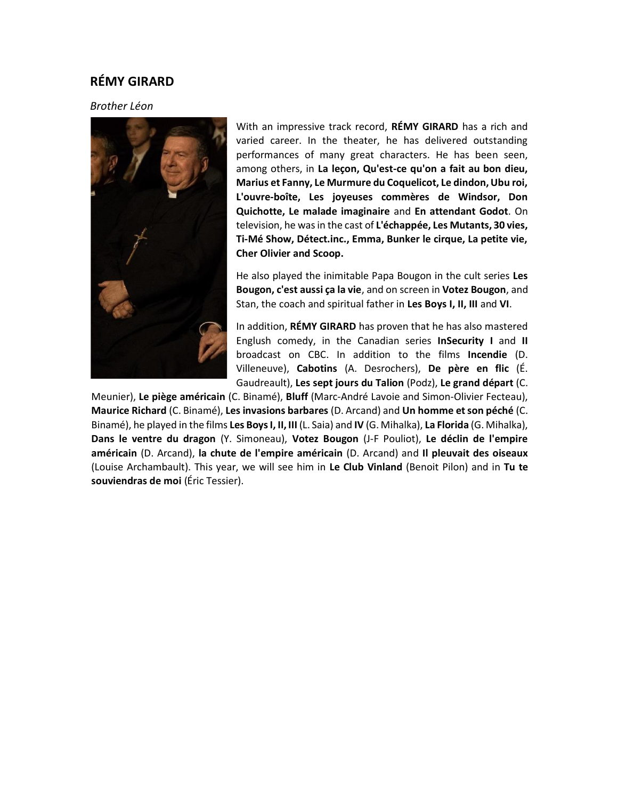### **RÉMY GIRARD**

#### *Brother Léon*



With an impressive track record, **RÉMY GIRARD** has a rich and varied career. In the theater, he has delivered outstanding performances of many great characters. He has been seen, among others, in **La leçon, Qu'est-ce qu'on a fait au bon dieu, Marius et Fanny, Le Murmure du Coquelicot, Le dindon, Ubu roi, L'ouvre-boîte, Les joyeuses commères de Windsor, Don Quichotte, Le malade imaginaire** and **En attendant Godot**. On television, he was in the cast of **L'échappée, Les Mutants, 30 vies, Ti-Mé Show, Détect.inc., Emma, Bunker le cirque, La petite vie, Cher Olivier and Scoop.** 

He also played the inimitable Papa Bougon in the cult series **Les Bougon, c'est aussi ça la vie**, and on screen in **Votez Bougon**, and Stan, the coach and spiritual father in **Les Boys I, II, III** and **VI**.

In addition, **RÉMY GIRARD** has proven that he has also mastered Englush comedy, in the Canadian series **InSecurity I** and **II** broadcast on CBC. In addition to the films **Incendie** (D. Villeneuve), **Cabotins** (A. Desrochers), **De père en flic** (É. Gaudreault), **Les sept jours du Talion** (Podz), **Le grand départ** (C.

Meunier), **Le piège américain** (C. Binamé), **Bluff** (Marc-André Lavoie and Simon-Olivier Fecteau), **Maurice Richard** (C. Binamé), **Les invasions barbares** (D. Arcand) and **Un homme et son péché** (C. Binamé), he played in the films **Les Boys I, II, III** (L. Saia) and **IV** (G. Mihalka), **La Florida** (G. Mihalka), **Dans le ventre du dragon** (Y. Simoneau), **Votez Bougon** (J-F Pouliot), **Le déclin de l'empire américain** (D. Arcand), **la chute de l'empire américain** (D. Arcand) and **Il pleuvait des oiseaux** (Louise Archambault). This year, we will see him in **Le Club Vinland** (Benoit Pilon) and in **Tu te souviendras de moi** (Éric Tessier).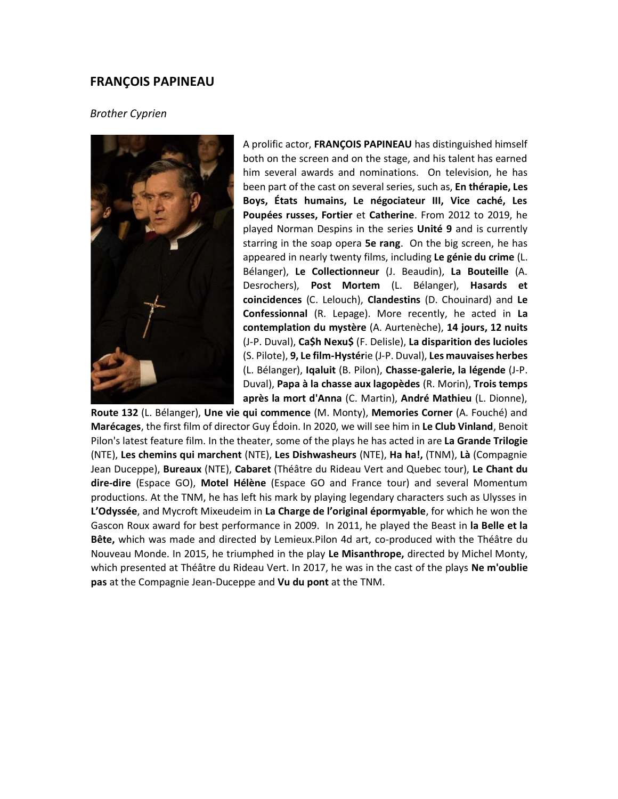#### **FRANÇOIS PAPINEAU**

#### *Brother Cyprien*



A prolific actor, **FRANÇOIS PAPINEAU** has distinguished himself both on the screen and on the stage, and his talent has earned him several awards and nominations. On television, he has been part of the cast on several series, such as, **En thérapie, Les Boys, États humains, Le négociateur III, Vice caché, Les Poupées russes, Fortier** et **Catherine**. From 2012 to 2019, he played Norman Despins in the series **Unité 9** and is currently starring in the soap opera **5e rang**. On the big screen, he has appeared in nearly twenty films, including **Le génie du crime** (L. Bélanger), **Le Collectionneur** (J. Beaudin), **La Bouteille** (A. Desrochers), **Post Mortem** (L. Bélanger), **Hasards et coincidences** (C. Lelouch), **Clandestins** (D. Chouinard) and **Le Confessionnal** (R. Lepage). More recently, he acted in **La contemplation du mystère** (A. Aurtenèche), **14 jours, 12 nuits** (J-P. Duval), **Ca\$h Nexu\$** (F. Delisle), **La disparition des lucioles** (S. Pilote), **9, Le film-Hystér**ie (J-P. Duval), **Les mauvaises herbes** (L. Bélanger), **Iqaluit** (B. Pilon), **Chasse-galerie, la légende** (J-P. Duval), **Papa à la chasse aux lagopèdes** (R. Morin), **Trois temps après la mort d'Anna** (C. Martin), **André Mathieu** (L. Dionne),

**Route 132** (L. Bélanger), **Une vie qui commence** (M. Monty), **Memories Corner** (A. Fouché) and **Marécages**, the first film of director Guy Édoin. In 2020, we will see him in **Le Club Vinland**, Benoit Pilon's latest feature film. In the theater, some of the plays he has acted in are **La Grande Trilogie**  (NTE), **Les chemins qui marchent** (NTE), **Les Dishwasheurs** (NTE), **Ha ha!,** (TNM), **Là** (Compagnie Jean Duceppe), **Bureaux** (NTE), **Cabaret** (Théâtre du Rideau Vert and Quebec tour), **Le Chant du dire-dire** (Espace GO), **Motel Hélène** (Espace GO and France tour) and several Momentum productions. At the TNM, he has left his mark by playing legendary characters such as Ulysses in **L'Odyssée**, and Mycroft Mixeudeim in **La Charge de l'original épormyable**, for which he won the Gascon Roux award for best performance in 2009. In 2011, he played the Beast in **la Belle et la Bête,** which was made and directed by Lemieux.Pilon 4d art, co-produced with the Théâtre du Nouveau Monde. In 2015, he triumphed in the play **Le Misanthrope,** directed by Michel Monty, which presented at Théâtre du Rideau Vert. In 2017, he was in the cast of the plays **Ne m'oublie pas** at the Compagnie Jean-Duceppe and **Vu du pont** at the TNM.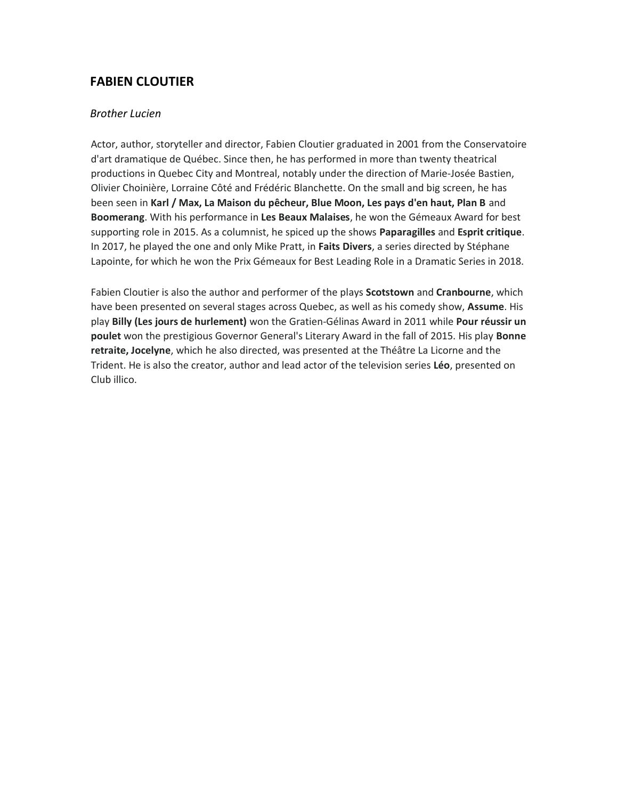## **FABIEN CLOUTIER**

#### *Brother Lucien*

Actor, author, storyteller and director, Fabien Cloutier graduated in 2001 from the Conservatoire d'art dramatique de Québec. Since then, he has performed in more than twenty theatrical productions in Quebec City and Montreal, notably under the direction of Marie-Josée Bastien, Olivier Choinière, Lorraine Côté and Frédéric Blanchette. On the small and big screen, he has been seen in **Karl / Max, La Maison du pêcheur, Blue Moon, Les pays d'en haut, Plan B** and **Boomerang**. With his performance in **Les Beaux Malaises**, he won the Gémeaux Award for best supporting role in 2015. As a columnist, he spiced up the shows **Paparagilles** and **Esprit critique**. In 2017, he played the one and only Mike Pratt, in **Faits Divers**, a series directed by Stéphane Lapointe, for which he won the Prix Gémeaux for Best Leading Role in a Dramatic Series in 2018.

Fabien Cloutier is also the author and performer of the plays **Scotstown** and **Cranbourne**, which have been presented on several stages across Quebec, as well as his comedy show, **Assume**. His play **Billy (Les jours de hurlement)** won the Gratien-Gélinas Award in 2011 while **Pour réussir un poulet** won the prestigious Governor General's Literary Award in the fall of 2015. His play **Bonne retraite, Jocelyne**, which he also directed, was presented at the Théâtre La Licorne and the Trident. He is also the creator, author and lead actor of the television series **Léo**, presented on Club illico.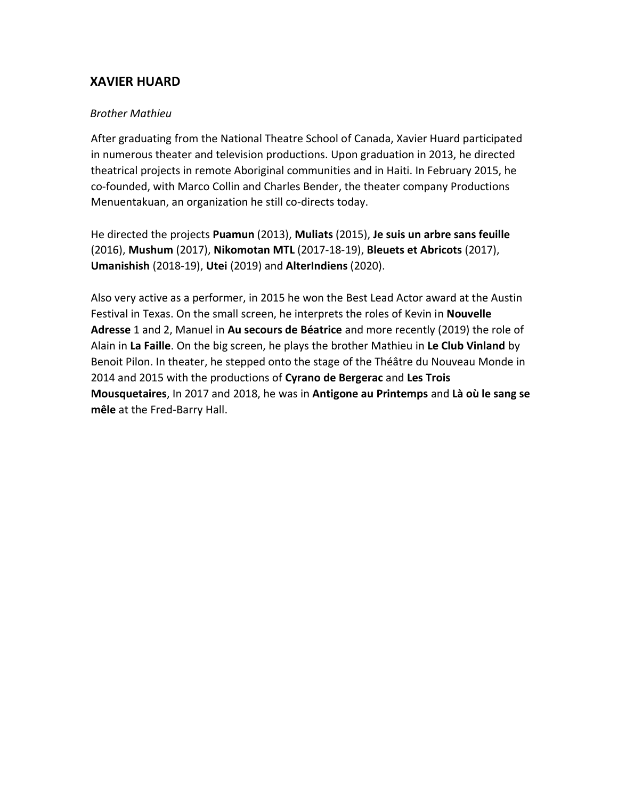## **XAVIER HUARD**

### *Brother Mathieu*

After graduating from the National Theatre School of Canada, Xavier Huard participated in numerous theater and television productions. Upon graduation in 2013, he directed theatrical projects in remote Aboriginal communities and in Haiti. In February 2015, he co-founded, with Marco Collin and Charles Bender, the theater company Productions Menuentakuan, an organization he still co-directs today.

He directed the projects **Puamun** (2013), **Muliats** (2015), **Je suis un arbre sans feuille** (2016), **Mushum** (2017), **Nikomotan MTL** (2017-18-19), **Bleuets et Abricots** (2017), **Umanishish** (2018-19), **Utei** (2019) and **AlterIndiens** (2020).

Also very active as a performer, in 2015 he won the Best Lead Actor award at the Austin Festival in Texas. On the small screen, he interprets the roles of Kevin in **Nouvelle Adresse** 1 and 2, Manuel in **Au secours de Béatrice** and more recently (2019) the role of Alain in **La Faille**. On the big screen, he plays the brother Mathieu in **Le Club Vinland** by Benoit Pilon. In theater, he stepped onto the stage of the Théâtre du Nouveau Monde in 2014 and 2015 with the productions of **Cyrano de Bergerac** and **Les Trois Mousquetaires**, In 2017 and 2018, he was in **Antigone au Printemps** and **Là où le sang se mêle** at the Fred-Barry Hall.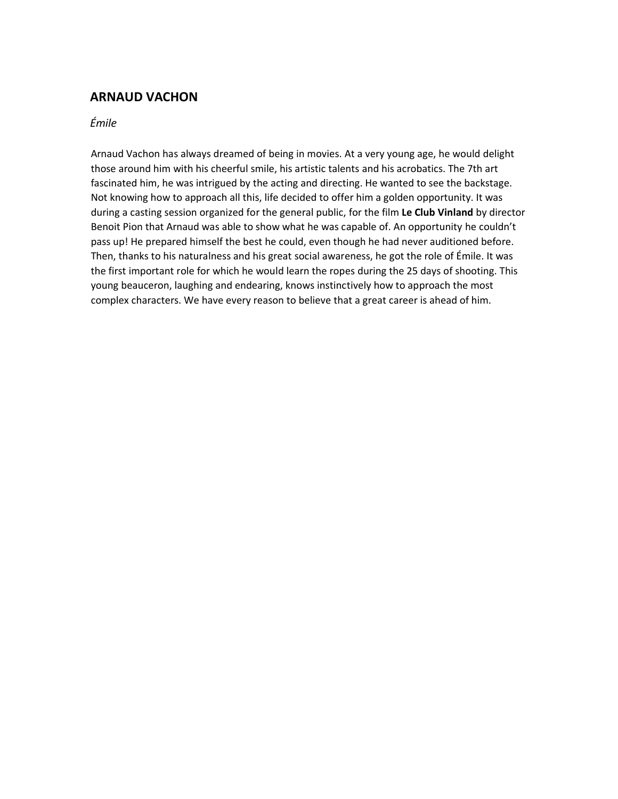## **ARNAUD VACHON**

### *Émile*

Arnaud Vachon has always dreamed of being in movies. At a very young age, he would delight those around him with his cheerful smile, his artistic talents and his acrobatics. The 7th art fascinated him, he was intrigued by the acting and directing. He wanted to see the backstage. Not knowing how to approach all this, life decided to offer him a golden opportunity. It was during a casting session organized for the general public, for the film **Le Club Vinland** by director Benoit Pion that Arnaud was able to show what he was capable of. An opportunity he couldn't pass up! He prepared himself the best he could, even though he had never auditioned before. Then, thanks to his naturalness and his great social awareness, he got the role of Émile. It was the first important role for which he would learn the ropes during the 25 days of shooting. This young beauceron, laughing and endearing, knows instinctively how to approach the most complex characters. We have every reason to believe that a great career is ahead of him.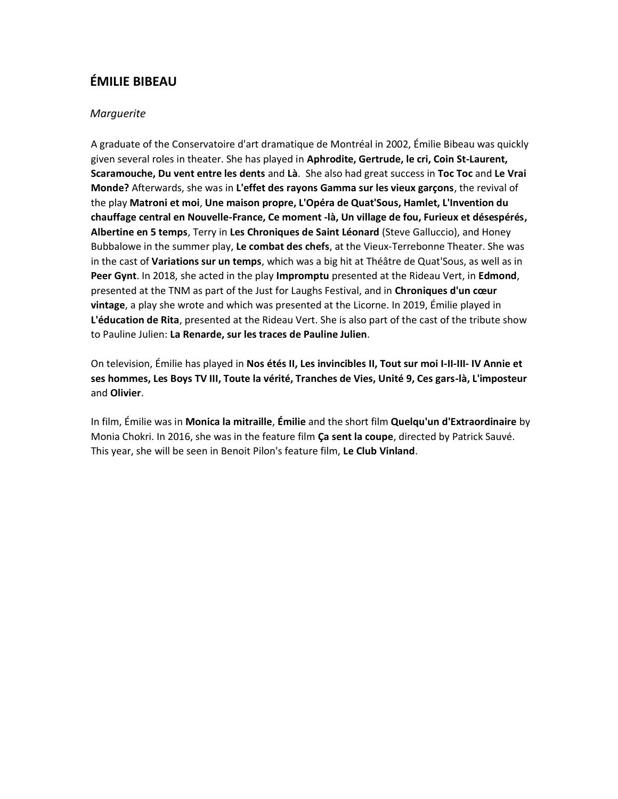# **ÉMILIE BIBEAU**

### *Marguerite*

A graduate of the Conservatoire d'art dramatique de Montréal in 2002, Émilie Bibeau was quickly given several roles in theater. She has played in **Aphrodite, Gertrude, le cri, Coin St-Laurent, Scaramouche, Du vent entre les dents** and **Là**. She also had great success in **Toc Toc** and **Le Vrai Monde?** Afterwards, she was in **L'effet des rayons Gamma sur les vieux garçons**, the revival of the play **Matroni et moi**, **Une maison propre, L'Opéra de Quat'Sous, Hamlet, L'Invention du chauffage central en Nouvelle-France, Ce moment -là, Un village de fou, Furieux et désespérés, Albertine en 5 temps**, Terry in **Les Chroniques de Saint Léonard** (Steve Galluccio), and Honey Bubbalowe in the summer play, **Le combat des chefs**, at the Vieux-Terrebonne Theater. She was in the cast of **Variations sur un temps**, which was a big hit at Théâtre de Quat'Sous, as well as in **Peer Gynt**. In 2018, she acted in the play **Impromptu** presented at the Rideau Vert, in **Edmond**, presented at the TNM as part of the Just for Laughs Festival, and in **Chroniques d'un cœur vintage**, a play she wrote and which was presented at the Licorne. In 2019, Émilie played in **L'éducation de Rita**, presented at the Rideau Vert. She is also part of the cast of the tribute show to Pauline Julien: **La Renarde, sur les traces de Pauline Julien**.

On television, Émilie has played in **Nos étés II, Les invincibles II, Tout sur moi I-II-III- IV Annie et ses hommes, Les Boys TV III, Toute la vérité, Tranches de Vies, Unité 9, Ces gars-là, L'imposteur**  and **Olivier**.

In film, Émilie was in **Monica la mitraille**, **Émilie** and the short film **Quelqu'un d'Extraordinaire** by Monia Chokri. In 2016, she was in the feature film **Ça sent la coupe**, directed by Patrick Sauvé. This year, she will be seen in Benoit Pilon's feature film, **Le Club Vinland**.